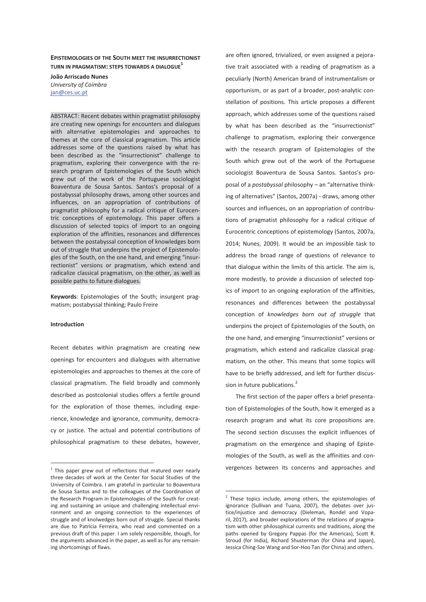**EPISTEMOLOGIES OF THE SOUTH MEET THE INSURRECTIONIST TURN IN PRAGMATISM: STEPS TOWARDS A DIALOGUE1**

**João Arriscado Nunes**  *University of Coimbra*  jan@ces.uc.pt

ABSTRACT: Recent debates within pragmatist philosophy are creating new openings for encounters and dialogues with alternative epistemologies and approaches to themes at the core of classical pragmatism. This article addresses some of the questions raised by what has been described as the "insurrectionist" challenge to pragmatism, exploring their convergence with the research program of Epistemologies of the South which grew out of the work of the Portuguese sociologist Boaventura de Sousa Santos. Santos's proposal of a postabyssal philosophy draws, among other sources and influences, on an appropriation of contributions of pragmatist philosophy for a radical critique of Eurocentric conceptions of epistemology. This paper offers a discussion of selected topics of import to an ongoing exploration of the affinities, resonances and differences between the postabyssal conception of knowledges born out of struggle that underpins the project of Epistemologies of the South, on the one hand, and emerging "insurrectionist" versions or pragmatism, which extend and radicalize classical pragmatism, on the other, as well as possible paths to future dialogues.

**Keywords**: Epistemologies of the South; insurgent pragmatism; postabyssal thinking; Paulo Freire

# **Introduction**

-

Recent debates within pragmatism are creating new openings for encounters and dialogues with alternative epistemologies and approaches to themes at the core of classical pragmatism. The field broadly and commonly described as postcolonial studies offers a fertile ground for the exploration of those themes, including experience, knowledge and ignorance, community, democracy or justice. The actual and potential contributions of philosophical pragmatism to these debates, however,

are often ignored, trivialized, or even assigned a pejorative trait associated with a reading of pragmatism as a peculiarly (North) American brand of instrumentalism or opportunism, or as part of a broader, post-analytic constellation of positions. This article proposes a different approach, which addresses some of the questions raised by what has been described as the "insurrectionist" challenge to pragmatism, exploring their convergence with the research program of Epistemologies of the South which grew out of the work of the Portuguese sociologist Boaventura de Sousa Santos. Santos's proposal of a *postabyssal* philosophy – an "alternative thinking of alternatives" (Santos, 2007a) - draws, among other sources and influences, on an appropriation of contributions of pragmatist philosophy for a radical critique of Eurocentric conceptions of epistemology (Santos, 2007a, 2014; Nunes, 2009). It would be an impossible task to address the broad range of questions of relevance to that dialogue within the limits of this article. The aim is, more modestly, to provide a discussion of selected topics of import to an ongoing exploration of the affinities, resonances and differences between the postabyssal conception of *knowledges born out of struggle* that underpins the project of Epistemologies of the South, on the one hand, and emerging "insurrectionist" versions or pragmatism, which extend and radicalize classical pragmatism, on the other. This means that some topics will have to be briefly addressed, and left for further discussion in future publications.<sup>2</sup>

The first section of the paper offers a brief presentation of Epistemologies of the South, how it emerged as a research program and what its core propositions are. The second section discusses the explicit influences of pragmatism on the emergence and shaping of Epistemologies of the South, as well as the affinities and convergences between its concerns and approaches and

-

 $1$  This paper grew out of reflections that matured over nearly three decades of work at the Center for Social Studies of the University of Coimbra. I am grateful in particular to Boaventura de Sousa Santos and to the colleagues of the Coordination of the Research Program in Epistemologies of the South for creating and sustaining an unique and challenging intellectual environment and an ongoing connection to the experiences of struggle and of knolwedges born out of struggle. Special thanks are due to Patrícia Ferreira, who read and commented on a previous draft of this paper. I am solely responsible, though, for the arguments advanced in the paper, as well as for any remaining shortcomings of flaws.

 $2$  These topics include, among others, the epistemologies of ignorance (Sullivan and Tuana, 2007), the debates over justice/injustice and democracy (Dieleman, Rondel and Voparil, 2017), and broader explorations of the relations of pragmatism with other philosophical currents and traditions, along the paths opened by Gregory Pappas (for the Americas), Scott R. Stroud (for India), Richard Shusterman (for China and Japan), Jessica Ching-Sze Wang and Sor-Hoo Tan (for China) and others.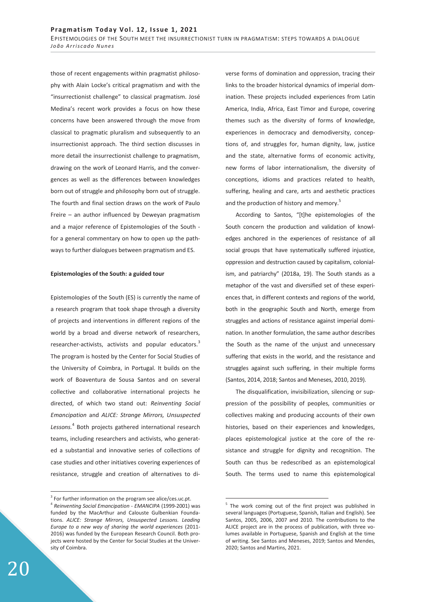those of recent engagements within pragmatist philosophy with Alain Locke's critical pragmatism and with the "insurrectionist challenge" to classical pragmatism. José Medina's recent work provides a focus on how these concerns have been answered through the move from classical to pragmatic pluralism and subsequently to an insurrectionist approach. The third section discusses in more detail the insurrectionist challenge to pragmatism, drawing on the work of Leonard Harris, and the convergences as well as the differences between knowledges born out of struggle and philosophy born out of struggle. The fourth and final section draws on the work of Paulo Freire – an author influenced by Deweyan pragmatism and a major reference of Epistemologies of the South for a general commentary on how to open up the pathways to further dialogues between pragmatism and ES.

#### **Epistemologies of the South: a guided tour**

Epistemologies of the South (ES) is currently the name of a research program that took shape through a diversity of projects and interventions in different regions of the world by a broad and diverse network of researchers, researcher-activists, activists and popular educators.<sup>3</sup> The program is hosted by the Center for Social Studies of the University of Coimbra, in Portugal. It builds on the work of Boaventura de Sousa Santos and on several collective and collaborative international projects he directed, of which two stand out: *Reinventing Social Emancipation* and *ALICE: Strange Mirrors, Unsuspected Lessons.*<sup>4</sup> Both projects gathered international research teams, including researchers and activists, who generated a substantial and innovative series of collections of case studies and other initiatives covering experiences of resistance, struggle and creation of alternatives to diverse forms of domination and oppression, tracing their links to the broader historical dynamics of imperial domination. These projects included experiences from Latin America, India, Africa, East Timor and Europe, covering themes such as the diversity of forms of knowledge, experiences in democracy and demodiversity, conceptions of, and struggles for, human dignity, law, justice and the state, alternative forms of economic activity, new forms of labor internationalism, the diversity of conceptions, idioms and practices related to health, suffering, healing and care, arts and aesthetic practices and the production of history and memory.<sup>5</sup>

According to Santos, "[t]he epistemologies of the South concern the production and validation of knowledges anchored in the experiences of resistance of all social groups that have systematically suffered injustice, oppression and destruction caused by capitalism, colonialism, and patriarchy" (2018a, 19). The South stands as a metaphor of the vast and diversified set of these experiences that, in different contexts and regions of the world, both in the geographic South and North, emerge from struggles and actions of resistance against imperial domination. In another formulation, the same author describes the South as the name of the unjust and unnecessary suffering that exists in the world, and the resistance and struggles against such suffering, in their multiple forms (Santos, 2014, 2018; Santos and Meneses, 2010, 2019).

The disqualification, invisibilization, silencing or suppression of the possibility of peoples, communities or collectives making and producing accounts of their own histories, based on their experiences and knowledges, places epistemological justice at the core of the resistance and struggle for dignity and recognition. The South can thus be redescribed as an epistemological South. The terms used to name this epistemological

-

 $\overline{a}$ 

<sup>&</sup>lt;sup>3</sup> For further information on the program see alice/ces.uc.pt. <sup>4</sup> *Reinventing Social Emancipation - EMANCIPA* (1999-2001) was funded by the MacArthur and Calouste Gulbenkian Foundations. *ALICE: Strange Mirrors, Unsuspected Lessons. Leading Europe to a new way of sharing the world experiences* (2011- 2016) was funded by the European Research Council. Both projects were hosted by the Center for Social Studies at the University of Coimbra.

<sup>&</sup>lt;sup>5</sup> The work coming out of the first project was published in several languages (Portuguese, Spanish, Italian and English). See Santos, 2005, 2006, 2007 and 2010. The contributions to the ALICE project are in the process of publication, with three volumes available in Portuguese, Spanish and English at the time of writing. See Santos and Meneses, 2019; Santos and Mendes, 2020; Santos and Martins, 2021.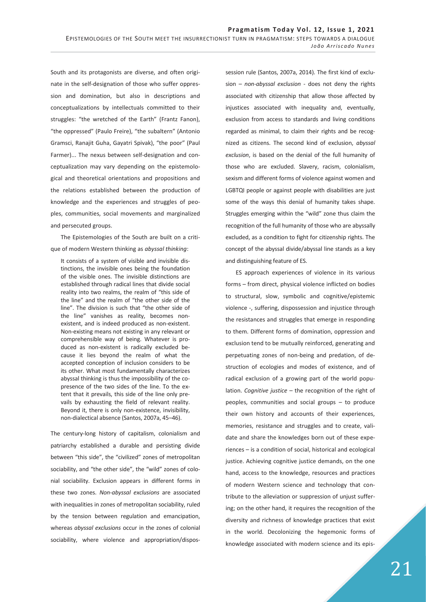South and its protagonists are diverse, and often originate in the self-designation of those who suffer oppression and domination, but also in descriptions and conceptualizations by intellectuals committed to their struggles: "the wretched of the Earth" (Frantz Fanon), "the oppressed" (Paulo Freire), "the subaltern" (Antonio Gramsci, Ranajit Guha, Gayatri Spivak), "the poor" (Paul Farmer)... The nexus between self-designation and conceptualization may vary depending on the epistemological and theoretical orientations and propositions and the relations established between the production of knowledge and the experiences and struggles of peoples, communities, social movements and marginalized and persecuted groups.

The Epistemologies of the South are built on a critique of modern Western thinking as *abyssal thinking*:

It consists of a system of visible and invisible distinctions, the invisible ones being the foundation of the visible ones. The invisible distinctions are established through radical lines that divide social reality into two realms, the realm of "this side of the line" and the realm of "the other side of the line". The division is such that "the other side of the line" vanishes as reality, becomes nonexistent, and is indeed produced as non-existent. Non-existing means not existing in any relevant or comprehensible way of being. Whatever is produced as non-existent is radically excluded because it lies beyond the realm of what the accepted conception of inclusion considers to be its other. What most fundamentally characterizes abyssal thinking is thus the impossibility of the copresence of the two sides of the line. To the extent that it prevails, this side of the line only prevails by exhausting the field of relevant reality. Beyond it, there is only non-existence, invisibility, non-dialectical absence (Santos, 2007a, 45–46).

The century-long history of capitalism, colonialism and patriarchy established a durable and persisting divide between "this side", the "civilized" zones of metropolitan sociability, and "the other side", the "wild" zones of colonial sociability. Exclusion appears in different forms in these two zones. *Non-abyssal exclusions* are associated with inequalities in zones of metropolitan sociability, ruled by the tension between regulation and emancipation, whereas *abyssal exclusions* occur in the zones of colonial sociability, where violence and appropriation/dispossession rule (Santos, 2007a, 2014). The first kind of exclusion – *non-abyssal exclusion* - does not deny the rights associated with citizenship that allow those affected by injustices associated with inequality and, eventually, exclusion from access to standards and living conditions regarded as minimal, to claim their rights and be recognized as citizens. The second kind of exclusion, *abyssal exclusion*, is based on the denial of the full humanity of those who are excluded. Slavery, racism, colonialism, sexism and different forms of violence against women and LGBTQI people or against people with disabilities are just some of the ways this denial of humanity takes shape. Struggles emerging within the "wild" zone thus claim the recognition of the full humanity of those who are abyssally excluded, as a condition to fight for citizenship rights. The concept of the abyssal divide/abyssal line stands as a key and distinguishing feature of ES.

ES approach experiences of violence in its various forms – from direct, physical violence inflicted on bodies to structural, slow, symbolic and cognitive/epistemic violence -, suffering, dispossession and injustice through the resistances and struggles that emerge in responding to them. Different forms of domination, oppression and exclusion tend to be mutually reinforced, generating and perpetuating zones of non-being and predation, of destruction of ecologies and modes of existence, and of radical exclusion of a growing part of the world population. *Cognitive justice* – the recognition of the right of peoples, communities and social groups – to produce their own history and accounts of their experiences, memories, resistance and struggles and to create, validate and share the knowledges born out of these experiences – is a condition of social, historical and ecological justice. Achieving cognitive justice demands, on the one hand, access to the knowledge, resources and practices of modern Western science and technology that contribute to the alleviation or suppression of unjust suffering; on the other hand, it requires the recognition of the diversity and richness of knowledge practices that exist in the world. Decolonizing the hegemonic forms of knowledge associated with modern science and its epis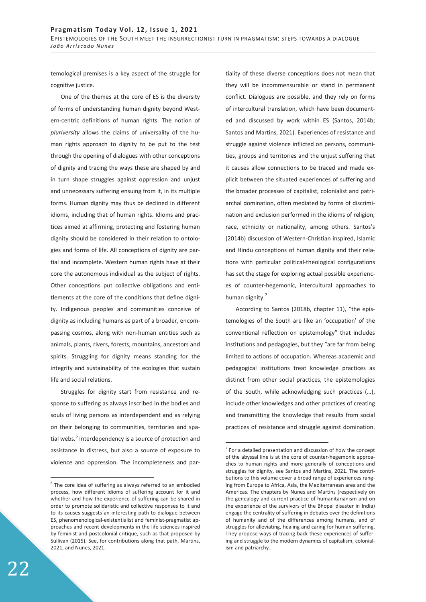temological premises is a key aspect of the struggle for cognitive justice.

One of the themes at the core of ES is the diversity of forms of understanding human dignity beyond Western-centric definitions of human rights. The notion of *pluriversity* allows the claims of universality of the human rights approach to dignity to be put to the test through the opening of dialogues with other conceptions of dignity and tracing the ways these are shaped by and in turn shape struggles against oppression and unjust and unnecessary suffering ensuing from it, in its multiple forms. Human dignity may thus be declined in different idioms, including that of human rights. Idioms and practices aimed at affirming, protecting and fostering human dignity should be considered in their relation to ontologies and forms of life. All conceptions of dignity are partial and incomplete. Western human rights have at their core the autonomous individual as the subject of rights. Other conceptions put collective obligations and entitlements at the core of the conditions that define dignity. Indigenous peoples and communities conceive of dignity as including humans as part of a broader, encompassing cosmos, along with non-human entities such as animals, plants, rivers, forests, mountains, ancestors and spirits. Struggling for dignity means standing for the integrity and sustainability of the ecologies that sustain life and social relations.

Struggles for dignity start from resistance and response to suffering as always inscribed in the bodies and souls of living persons as interdependent and as relying on their belonging to communities, territories and spatial webs.<sup>6</sup> Interdependency is a source of protection and assistance in distress, but also a source of exposure to violence and oppression. The incompleteness and partiality of these diverse conceptions does not mean that they will be incommensurable or stand in permanent conflict. Dialogues are possible, and they rely on forms of intercultural translation, which have been documented and discussed by work within ES (Santos, 2014b; Santos and Martins, 2021). Experiences of resistance and struggle against violence inflicted on persons, communities, groups and territories and the unjust suffering that it causes allow connections to be traced and made explicit between the situated experiences of suffering and the broader processes of capitalist, colonialist and patriarchal domination, often mediated by forms of discrimination and exclusion performed in the idioms of religion, race, ethnicity or nationality, among others. Santos's (2014b) discussion of Western-Christian inspired, Islamic and Hindu conceptions of human dignity and their relations with particular political-theological configurations has set the stage for exploring actual possible experiences of counter-hegemonic, intercultural approaches to human dignity.<sup>7</sup>

According to Santos (2018b, chapter 11), "the epistemologies of the South are like an 'occupation' of the conventional reflection on epistemology" that includes institutions and pedagogies, but they "are far from being limited to actions of occupation. Whereas academic and pedagogical institutions treat knowledge practices as distinct from other social practices, the epistemologies of the South, while acknowledging such practices (…), include other knowledges and other practices of creating and transmitting the knowledge that results from social practices of resistance and struggle against domination.

-

 $\overline{a}$ 

 $6$  The core idea of suffering as always referred to an embodied process, how different idioms of suffering account for it and whether and how the experience of suffering can be shared in order to promote solidaristic and collective responses to it and to its causes suggests an interesting path to dialogue between ES, phenomenological-existentialist and feminist-pragmatist approaches and recent developments in the life sciences inspired by feminist and postcolonial critique, such as that proposed by Sullivan (2015). See, for contributions along that path, Martins, 2021, and Nunes, 2021.

 $7$  For a detailed presentation and discussion of how the concept of the abyssal line is at the core of counter-hegemonic approaches to human rights and more generally of conceptions and struggles for dignity, see Santos and Martins, 2021. The contributions to this volume cover a broad range of experiences ranging from Europe to Africa, Asia, the Mediterranean area and the Americas. The chapters by Nunes and Martins (respectively on the genealogy and current practice of humanitarianism and on the experience of the survivors of the Bhopal disaster in India) engage the centrality of suffering in debates over the definitions of humanity and of the differences among humans, and of struggles for alleviating, healing and caring for human suffering. They propose ways of tracing back these experiences of suffering and struggle to the modern dynamics of capitalism, colonialism and patriarchy.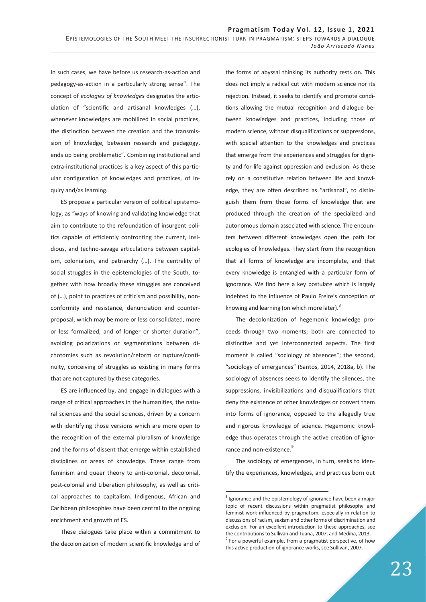In such cases, we have before us research-as-action and pedagogy-as-action in a particularly strong sense". The concept of *ecologies of knowledges* designates the articulation of "scientific and artisanal knowledges (…), whenever knowledges are mobilized in social practices, the distinction between the creation and the transmission of knowledge, between research and pedagogy, ends up being problematic". Combining institutional and extra-institutional practices is a key aspect of this particular configuration of knowledges and practices, of inquiry and/as learning.

ES propose a particular version of political epistemology, as "ways of knowing and validating knowledge that aim to contribute to the refoundation of insurgent politics capable of efficiently confronting the current, insidious, and techno-savage articulations between capitalism, colonialism, and patriarchy (…). The centrality of social struggles in the epistemologies of the South, together with how broadly these struggles are conceived of (…), point to practices of criticism and possibility, nonconformity and resistance, denunciation and counterproposal, which may be more or less consolidated, more or less formalized, and of longer or shorter duration", avoiding polarizations or segmentations between dichotomies such as revolution/reform or rupture/continuity, conceiving of struggles as existing in many forms that are not captured by these categories.

ES are influenced by, and engage in dialogues with a range of critical approaches in the humanities, the natural sciences and the social sciences, driven by a concern with identifying those versions which are more open to the recognition of the external pluralism of knowledge and the forms of dissent that emerge within established disciplines or areas of knowledge. These range from feminism and queer theory to anti-colonial, decolonial, post-colonial and Liberation philosophy, as well as critical approaches to capitalism. Indigenous, African and Caribbean philosophies have been central to the ongoing enrichment and growth of ES.

These dialogues take place within a commitment to the decolonization of modern scientific knowledge and of the forms of abyssal thinking its authority rests on. This does not imply a radical cut with modern science nor its rejection. Instead, it seeks to identify and promote conditions allowing the mutual recognition and dialogue between knowledges and practices, including those of modern science, without disqualifications or suppressions, with special attention to the knowledges and practices that emerge from the experiences and struggles for dignity and for life against oppression and exclusion. As these rely on a constitutive relation between life and knowledge, they are often described as "artisanal", to distinguish them from those forms of knowledge that are produced through the creation of the specialized and autonomous domain associated with science. The encounters between different knowledges open the path for ecologies of knowledges. They start from the recognition that all forms of knowledge are incomplete, and that every knowledge is entangled with a particular form of ignorance. We find here a key postulate which is largely indebted to the influence of Paulo Freire's conception of knowing and learning (on which more later).<sup>8</sup>

The decolonization of hegemonic knowledge proceeds through two moments; both are connected to distinctive and yet interconnected aspects. The first moment is called "sociology of absences"; the second, "sociology of emergences" (Santos, 2014, 2018a, b). The sociology of absences seeks to identify the silences, the suppressions, invisibilizations and disqualifications that deny the existence of other knowledges or convert them into forms of ignorance, opposed to the allegedly true and rigorous knowledge of science. Hegemonic knowledge thus operates through the active creation of ignorance and non-existence.<sup>9</sup>

The sociology of emergences, in turn, seeks to identify the experiences, knowledges, and practices born out

 $\overline{a}$ 

 $8$  Ignorance and the epistemology of ignorance have been a major topic of recent discussions within pragmatist philosophy and feminist work influenced by pragmatism, especially in relation to discussions of racism, sexism and other forms of discrimination and exclusion. For an excellent introduction to these approaches, see the contributions to Sullivan and Tuana, 2007, and Medina, 2013.  $9$  For a powerful example, from a pragmatist perspective, of how this active production of ignorance works, see Sullivan, 2007.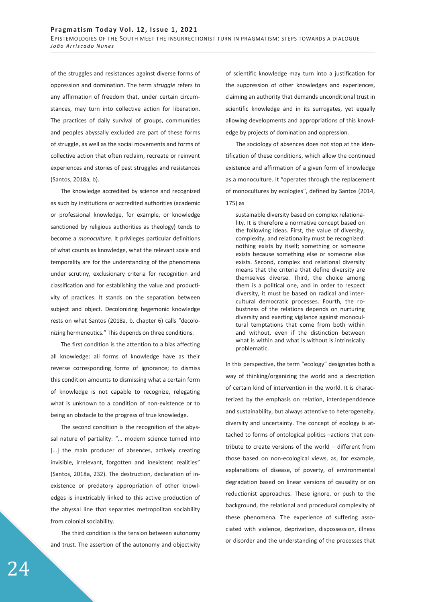of the struggles and resistances against diverse forms of oppression and domination. The term *struggle* refers to any affirmation of freedom that, under certain circumstances, may turn into collective action for liberation. The practices of daily survival of groups, communities and peoples abyssally excluded are part of these forms of struggle, as well as the social movements and forms of collective action that often reclaim, recreate or reinvent experiences and stories of past struggles and resistances (Santos, 2018a, b).

The knowledge accredited by science and recognized as such by institutions or accredited authorities (academic or professional knowledge, for example, or knowledge sanctioned by religious authorities as theology) tends to become a *monoculture*. It privileges particular definitions of what counts as knowledge, what the relevant scale and temporality are for the understanding of the phenomena under scrutiny, exclusionary criteria for recognition and classification and for establishing the value and productivity of practices. It stands on the separation between subject and object. Decolonizing hegemonic knowledge rests on what Santos (2018a, b, chapter 6) calls "decolonizing hermeneutics." This depends on three conditions.

The first condition is the attention to a bias affecting all knowledge: all forms of knowledge have as their reverse corresponding forms of ignorance; to dismiss this condition amounts to dismissing what a certain form of knowledge is not capable to recognize, relegating what is unknown to a condition of non-existence or to being an obstacle to the progress of true knowledge.

The second condition is the recognition of the abyssal nature of partiality: "… modern science turned into [...] the main producer of absences, actively creating invisible, irrelevant, forgotten and inexistent realities" (Santos, 2018a, 232). The destruction, declaration of inexistence or predatory appropriation of other knowledges is inextricably linked to this active production of the abyssal line that separates metropolitan sociability from colonial sociability.

The third condition is the tension between autonomy and trust. The assertion of the autonomy and objectivity of scientific knowledge may turn into a justification for the suppression of other knowledges and experiences, claiming an authority that demands unconditional trust in scientific knowledge and in its surrogates, yet equally allowing developments and appropriations of this knowledge by projects of domination and oppression.

The sociology of absences does not stop at the identification of these conditions, which allow the continued existence and affirmation of a given form of knowledge as a monoculture. It "operates through the replacement of monocultures by ecologies", defined by Santos (2014, 175) as

sustainable diversity based on complex relationality. It is therefore a normative concept based on the following ideas. First, the value of diversity, complexity, and relationality must be recognized: nothing exists by itself; something or someone exists because something else or someone else exists. Second, complex and relational diversity means that the criteria that define diversity are themselves diverse. Third, the choice among them is a political one, and in order to respect diversity, it must be based on radical and intercultural democratic processes. Fourth, the robustness of the relations depends on nurturing diversity and exerting vigilance against monocultural temptations that come from both within and without, even if the distinction between what is within and what is without is intrinsically problematic.

In this perspective, the term "ecology" designates both a way of thinking/organizing the world and a description of certain kind of intervention in the world. It is characterized by the emphasis on relation, interdependdence and sustainability, but always attentive to heterogeneity, diversity and uncertainty. The concept of ecology is attached to forms of ontological politics –actions that contribute to create versions of the world – different from those based on non-ecological views, as, for example, explanations of disease, of poverty, of environmental degradation based on linear versions of causality or on reductionist approaches. These ignore, or push to the background, the relational and procedural complexity of these phenomena. The experience of suffering associated with violence, deprivation, dispossession, illness or disorder and the understanding of the processes that

**24**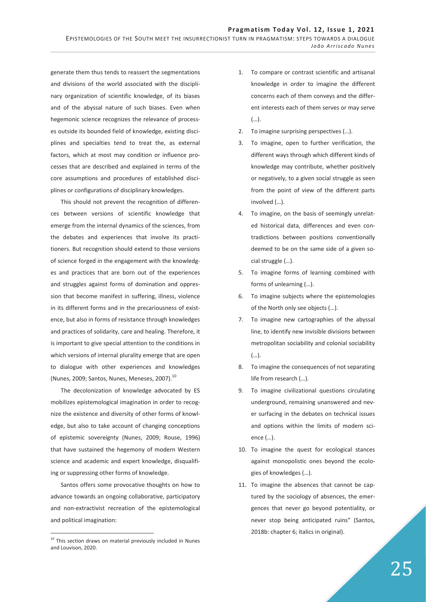EPISTEMOLOGIES OF THE SOUTH MEET THE INSURRECTIONIST TURN IN PRAGMATISM: STEPS TOWARDS A DIALOGUE *João Arriscado Nunes*

generate them thus tends to reassert the segmentations and divisions of the world associated with the disciplinary organization of scientific knowledge, of its biases and of the abyssal nature of such biases. Even when hegemonic science recognizes the relevance of processes outside its bounded field of knowledge, existing disciplines and specialties tend to treat the, as external factors, which at most may condition or influence processes that are described and explained in terms of the core assumptions and procedures of established disciplines or configurations of disciplinary knowledges.

This should not prevent the recognition of differences between versions of scientific knowledge that emerge from the internal dynamics of the sciences, from the debates and experiences that involve its practitioners. But recognition should extend to those versions of science forged in the engagement with the knowledges and practices that are born out of the experiences and struggles against forms of domination and oppression that become manifest in suffering, illness, violence in its different forms and in the precariousness of existence, but also in forms of resistance through knowledges and practices of solidarity, care and healing. Therefore, it is important to give special attention to the conditions in which versions of internal plurality emerge that are open to dialogue with other experiences and knowledges (Nunes, 2009; Santos, Nunes, Meneses, 2007).<sup>10</sup>

The decolonization of knowledge advocated by ES mobilizes epistemological imagination in order to recognize the existence and diversity of other forms of knowledge, but also to take account of changing conceptions of epistemic sovereignty (Nunes, 2009; Rouse, 1996) that have sustained the hegemony of modern Western science and academic and expert knowledge, disqualifiing or suppressing other forms of knowledge.

Santos offers some provocative thoughts on how to advance towards an ongoing collaborative, participatory and non-extractivist recreation of the epistemological and political imagination:

-

- 1. To compare or contrast scientific and artisanal knowledge in order to imagine the different concerns each of them conveys and the different interests each of them serves or may serve (…).
- 2. To imagine surprising perspectives (…).
- 3. To imagine, open to further verification, the different ways through which different kinds of knowledge may contribute, whether positively or negatively, to a given social struggle as seen from the point of view of the different parts involved (…).
- 4. To imagine, on the basis of seemingly unrelated historical data, differences and even contradictions between positions conventionally deemed to be on the same side of a given social struggle (…).
- 5. To imagine forms of learning combined with forms of unlearning (…).
- 6. To imagine subjects where the epistemologies of the North only see objects (…).
- 7. To imagine new cartographies of the abyssal line, to identify new invisible divisions between metropolitan sociability and colonial sociability (…).
- 8. To imagine the consequences of not separating life from research (…).
- 9. To imagine civilizational questions circulating underground, remaining unanswered and never surfacing in the debates on technical issues and options within the limits of modern science (…).
- 10. To imagine the quest for ecological stances against monopolistic ones beyond the ecologies of knowledges (…).
- 11. To imagine the absences that cannot be captured by the sociology of absences, the emergences that never go beyond potentiality, or never stop being anticipated ruins" (Santos, 2018b: chapter 6; italics in original).

 $10$  This section draws on material previously included in Nunes and Louvison, 2020.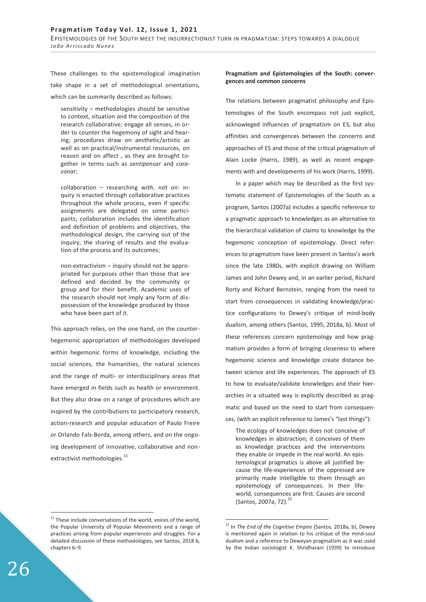These challenges to the epistemological imagination take shape in a set of methodological orientations, which can be summarily described as follows:

sensitivity – methodologies should be sensitive to context, situation and the composition of the research collaborative; engage all senses, in order to counter the hegemony of sight and hearing; procedures draw on aesthetic/artistic as well as on practical/instrumental resources, on reason and on affect , as they are brought together in terms such as *sentipensar* and *corazonar*;

collaboration – researching *with*, not *on*: inquiry is enacted through collaborative practices throughout the whole process, even if specific assignments are delegated on some participants; collaboration includes the identification and definition of problems and objectives, the methodological design, the carrying out of the inquiry, the sharing of results and the evaluation of the process and its outcomes;

non-extractivism – inquiry should not be appropriated for purposes other than those that are defined and decided by the community or group and for their benefit. Academic uses of the research should not imply any form of dispossession of the knowledge produced by those who have been part of it.

This approach relies, on the one hand, on the counterhegemonic appropriation of methodologies developed within hegemonic forms of knowledge, including the social sciences, the humanities, the natural sciences and the range of multi- or interdisciplinary areas that have emerged in fields such as health or environment. But they also draw on a range of procedures which are inspired by the contributions to participatory research, action-research and popular education of Paulo Freire or Orlando Fals-Borda, among others, and on the ongoing development of innovative, collaborative and nonextractivist methodologies.<sup>11</sup>

# **Pragmatism and Epistemologies of the South: convergences and common concerns**

The relations between pragmatist philosophy and Epistemologies of the South encompass not just explicit, acknowleged influences of pragmatism on ES, but also affinities and convergences between the concerns and approaches of ES and those of the critical pragmatism of Alain Locke (Harris, 1989), as well as recent engagements with and developments of his work (Harris, 1999).

In a paper which may be described as the first systematic statement of Epistemologies of the South as a program, Santos (2007a) includes a specific reference to a pragmatic approach to knowledges as an alternative to the hierarchical validation of claims to knowledge by the hegemonic conception of epistemology. Direct references to pragmatism have been present in Santos's work since the late 1980s, with explicit drawing on William James and John Dewey and, in an earlier period, Richard Rorty and Richard Bernstein, ranging from the need to start from consequences in validating knowledge/practice configurations to Dewey's critique of mind-body dualism, among others (Santos, 1995, 2018a, b). Most of these references concern epistemology and how pragmatism provides a form of bringing closeness to where hegemonic science and knowledge create distance between science and life experiences. The approach of ES to how to evaluate/validate knowledges and their hierarchies in a situated way is explicitly described as pragmatic and based on the need to start from consequences, (with an explicit reference to James's "last things"):

The ecology of knowledges does not conceive of knowledges in abstraction; it conceives of them as knowledge practices and the interventions they enable or impede in the real world. An epistemological pragmatics is above all justified because the life-experiences of the oppressed are primarily made intelligible to them through an epistemology of consequences. In their lifeworld, consequences are first. Causes are second (Santos, 2007a, 72).<sup>12</sup>

-

-

 $11$  These include conversations of the world, voices of the world, the Popular University of Popular Movements and a range of practices arising from popular experiences and struggles. For a detailed discussion of these methodologies, see Santos, 2018 b, chapters 6–9.

<sup>&</sup>lt;sup>12</sup> In *The End of the Cognitive Empire* (Santos, 2018a, b), Dewey is mentioned again in relation to his critique of the mind-soul dualism and a reference to Deweyan pragmatism as it was used by the Indian sociologist K. Shridharani (1939) to introduce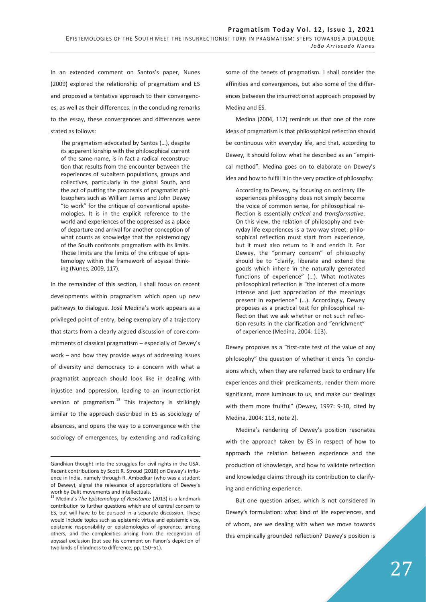In an extended comment on Santos's paper, Nunes (2009) explored the relationship of pragmatism and ES and proposed a tentative approach to their convergences, as well as their differences. In the concluding remarks to the essay, these convergences and differences were stated as follows:

The pragmatism advocated by Santos (…), despite its apparent kinship with the philosophical current of the same name, is in fact a radical reconstruction that results from the encounter between the experiences of subaltern populations, groups and collectives, particularly in the global South, and the act of putting the proposals of pragmatist philosophers such as William James and John Dewey "to work" for the critique of conventional epistemologies. It is in the explicit reference to the world and experiences of the oppressed as a place of departure and arrival for another conception of what counts as knowledge that the epistemology of the South confronts pragmatism with its limits. Those limits are the limits of the critique of epistemology within the framework of abyssal thinking (Nunes, 2009, 117).

In the remainder of this section, I shall focus on recent developments within pragmatism which open up new pathways to dialogue. José Medina's work appears as a privileged point of entry, being exemplary of a trajectory that starts from a clearly argued discussion of core commitments of classical pragmatism – especially of Dewey's work – and how they provide ways of addressing issues of diversity and democracy to a concern with what a pragmatist approach should look like in dealing with injustice and oppression, leading to an insurrectionist version of pragmatism. $^{13}$  This trajectory is strikingly similar to the approach described in ES as sociology of absences, and opens the way to a convergence with the sociology of emergences, by extending and radicalizing some of the tenets of pragmatism. I shall consider the affinities and convergences, but also some of the differences between the insurrectionist approach proposed by Medina and ES.

Medina (2004, 112) reminds us that one of the core ideas of pragmatism is that philosophical reflection should be continuous with everyday life, and that, according to Dewey, it should follow what he described as an "empirical method". Medina goes on to elaborate on Dewey's idea and how to fulfill it in the very practice of philosophy:

According to Dewey, by focusing on ordinary life experiences philosophy does not simply become the voice of common sense, for philosophical reflection is essentially *critical* and *transformative*. On this view, the relation of philosophy and everyday life experiences is a two-way street: philosophical reflection must start from experience, but it must also return to it and enrich it. For Dewey, the "primary concern" of philosophy should be to "clarify, liberate and extend the goods which inhere in the naturally generated functions of experience" (…). What motivates philosophical reflection is "the interest of a more intense and just appreciation of the meanings present in experience" (…). Accordingly, Dewey proposes as a practical test for philosophical reflection that we ask whether or not such reflection results in the clarification and "enrichment" of experience (Medina, 2004: 113).

Dewey proposes as a "first-rate test of the value of any philosophy" the question of whether it ends "in conclusions which, when they are referred back to ordinary life experiences and their predicaments, render them more significant, more luminous to us, and make our dealings with them more fruitful" (Dewey, 1997: 9-10, cited by Medina, 2004: 113, note 2).

Medina's rendering of Dewey's position resonates with the approach taken by ES in respect of how to approach the relation between experience and the production of knowledge, and how to validate reflection and knowledge claims through its contribution to clarifying and enriching experience.

But one question arises, which is not considered in Dewey's formulation: what kind of life experiences, and of whom, are we dealing with when we move towards this empirically grounded reflection? Dewey's position is

<sup>-</sup>Gandhian thought into the struggles for civil rights in the USA. Recent contributions by Scott R. Stroud (2018) on Dewey's influence in India, namely through R. Ambedkar (who was a student of Dewey), signal the relevance of appropriations of Dewey's work by Dalit movements and intellectuals.

<sup>13</sup> Medina's *The Epistemology of Resistance* (2013) is a landmark contribution to further questions which are of central concern to ES, but will have to be pursued in a separate discussion. These would include topics such as epistemic virtue and epistemic vice, epistemic responsibility or epistemologies of ignorance, among others, and the complexities arising from the recognition of abyssal exclusion (but see his comment on Fanon's depiction of two kinds of blindness to difference, pp. 150–51).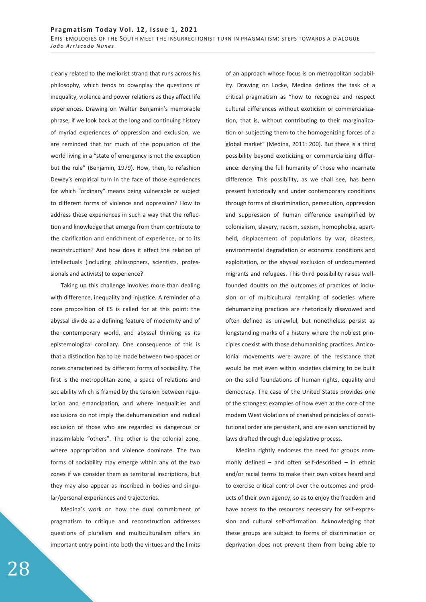clearly related to the meliorist strand that runs across his philosophy, which tends to downplay the questions of inequality, violence and power relations as they affect life experiences. Drawing on Walter Benjamin's memorable phrase, if we look back at the long and continuing history of myriad experiences of oppression and exclusion, we are reminded that for much of the population of the world living in a "state of emergency is not the exception but the rule" (Benjamin, 1979). How, then, to refashion Dewey's empirical turn in the face of those experiences for which "ordinary" means being vulnerable or subject to different forms of violence and oppression? How to address these experiences in such a way that the reflection and knowledge that emerge from them contribute to the clarification and enrichment of experience, or to its reconstructtion? And how does it affect the relation of intellectuals (including philosophers, scientists, professionals and activists) to experience?

Taking up this challenge involves more than dealing with difference, inequality and injustice. A reminder of a core proposition of ES is called for at this point: the abyssal divide as a defining feature of modernity and of the contemporary world, and abyssal thinking as its epistemological corollary. One consequence of this is that a distinction has to be made between two spaces or zones characterized by different forms of sociability. The first is the metropolitan zone, a space of relations and sociability which is framed by the tension between regulation and emancipation, and where inequalities and exclusions do not imply the dehumanization and radical exclusion of those who are regarded as dangerous or inassimilable "others". The other is the colonial zone, where appropriation and violence dominate. The two forms of sociability may emerge within any of the two zones if we consider them as territorial inscriptions, but they may also appear as inscribed in bodies and singular/personal experiences and trajectories.

Medina's work on how the dual commitment of pragmatism to critique and reconstruction addresses questions of pluralism and multiculturalism offers an important entry point into both the virtues and the limits of an approach whose focus is on metropolitan sociability. Drawing on Locke, Medina defines the task of a critical pragmatism as "how to recognize and respect cultural differences without exoticism or commercialization, that is, without contributing to their marginalization or subjecting them to the homogenizing forces of a global market" (Medina, 2011: 200). But there is a third possibility beyond exoticizing or commercializing difference: denying the full humanity of those who incarnate difference. This possibility, as we shall see, has been present historically and under contemporary conditions through forms of discrimination, persecution, oppression and suppression of human difference exemplified by colonialism, slavery, racism, sexism, homophobia, apartheid, displacement of populations by war, disasters, environmental degradation or economic conditions and exploitation, or the abyssal exclusion of undocumented migrants and refugees. This third possibility raises wellfounded doubts on the outcomes of practices of inclusion or of multicultural remaking of societies where dehumanizing practices are rhetorically disavowed and often defined as unlawful, but nonetheless persist as longstanding marks of a history where the noblest principles coexist with those dehumanizing practices. Anticolonial movements were aware of the resistance that would be met even within societies claiming to be built on the solid foundations of human rights, equality and democracy. The case of the United States provides one of the strongest examples of how even at the core of the modern West violations of cherished principles of constitutional order are persistent, and are even sanctioned by laws drafted through due legislative process.

Medina rightly endorses the need for groups commonly defined – and often self-described – in ethnic and/or racial terms to make their own voices heard and to exercise critical control over the outcomes and products of their own agency, so as to enjoy the freedom and have access to the resources necessary for self-expression and cultural self-affirmation. Acknowledging that these groups are subject to forms of discrimination or deprivation does not prevent them from being able to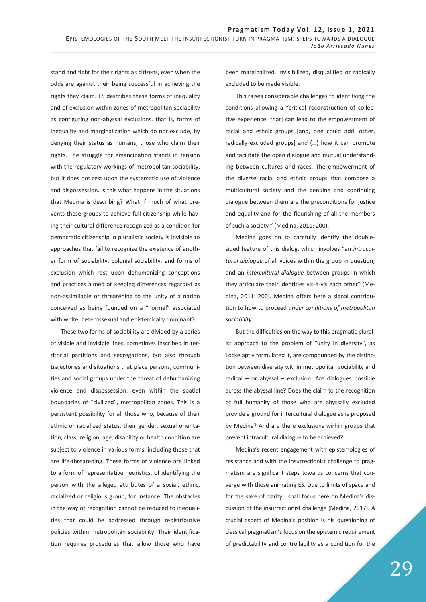stand and fight for their rights as citizens, even when the odds are against their being successful in achieving the rights they claim. ES describes these forms of inequality and of exclusion within zones of metropolitan sociability as configuring non-abyssal exclusions, that is, forms of inequality and marginalization which do not exclude, by denying their status as humans, those who claim their rights. The struggle for emancipation stands in tension with the regulatory workings of metropolitan sociability, but it does not rest upon the systematic use of violence and dispossession. Is this what happens in the situations that Medina is describing? What if much of what prevents these groups to achieve full citizenship while having their cultural difference recognized as a condition for democratic citizenship in pluralistic society is invisible to approaches that fail to recognize the existence of another form of sociability, colonial sociability, and forms of exclusion which rest upon dehumanizing conceptions and practices aimed at keeping differences regarded as non-assimilable or threatening to the unity of a nation conceived as being founded on a "normal" associated with white, heterossexual and epistemically dominant?

These two forms of sociability are divided by a series of visible and invisible lines, sometimes inscribed in territorial partitions and segregations, but also through trajectories and situations that place persons, communities and social groups under the threat of dehumanizing violence and dispossession, even within the spatial boundaries of "civilized", metropolitan zones. This is a persistent possibility for all those who, because of their ethnic or racialized status, their gender, sexual orientation, class, religion, age, disability or health condition are subject to violence in various forms, including those that are life-threatening. These forms of violence are linked to a form of representative heuristics, of identifying the person with the alleged attributes of a social, ethnic, racialized or religious group, for instance. The obstacles in the way of recognition cannot be reduced to inequalities that could be addressed through redistributive policies within metropolitan sociability. Their identification requires procedures that allow those who have been marginalized, invisibilized, disqualified or radically excluded to be made visible.

This raises considerable challenges to identifying the conditions allowing a "critical reconstruction of collective experience [that] can lead to the empowerment of racial and ethnic groups [and, one could add, other, radically excluded groups] and (…) how it can promote and facilitate the open dialogue and mutual understanding between cultures and races. The empowerment of the diverse racial and ethnic groups that compose a multicultural society and the genuine and continuing dialogue between them are the preconditions for justice and equality and for the flourishing of all the members of such a society " (Medina, 2011: 200).

Medina goes on to carefully identify the doublesided feature of this dialog, which involves "an *intracultural dialogue* of all voices within the group in question; and an *intercultural dialogue* between groups in which they articulate their identities vis-à-vis each other" (Medina, 2011: 200). Medina offers here a signal contribution to how to proceed *under conditions of metropolitan sociability*.

But the difficulties on the way to this pragmatic pluralist approach to the problem of "unity in diversity", as Locke aptly formulated it, are compounded by the distinction between diversity within metropolitan sociability and radical – or abyssal – exclusion. Are dialogues possible across the abyssal line? Does the claim to the recognition of full humanity of those who are abyssally excluded provide a ground for intercultural dialogue as is proposed by Medina? And are there exclusions wirhin groups that prevent intracultural dialogue to be achieved?

Medina's recent engagement with epistemologies of resistance and with the insurrectionist challenge to pragmatism are significant steps towards concerns that converge with those animating ES. Due to limits of space and for the sake of clarity I shall focus here on Medina's discussion of the insurrectionist challenge (Medina, 2017). A crucial aspect of Medina's position is his questioning of classical pragmatism's focus on the epistemic requirement of predictability and controllability as a condition for the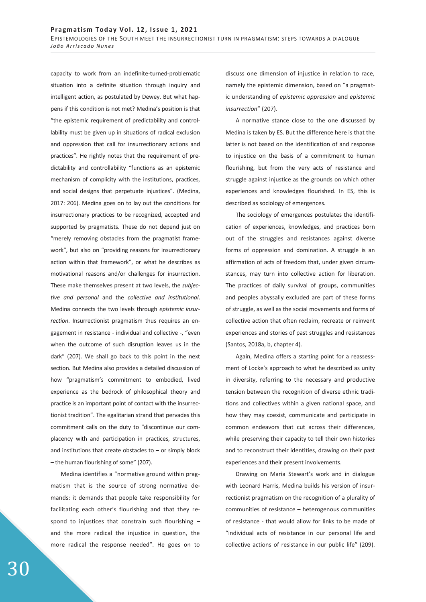capacity to work from an indefinite-turned-problematic situation into a definite situation through inquiry and intelligent action, as postulated by Dewey. But what happens if this condition is not met? Medina's position is that "the epistemic requirement of predictability and controllability must be given up in situations of radical exclusion and oppression that call for insurrectionary actions and practices". He rightly notes that the requirement of predictability and controllability "functions as an epistemic mechanism of complicity with the institutions, practices, and social designs that perpetuate injustices". (Medina, 2017: 206). Medina goes on to lay out the conditions for insurrectionary practices to be recognized, accepted and supported by pragmatists. These do not depend just on "merely removing obstacles from the pragmatist framework", but also on "providing reasons for insurrectionary action within that framework", or what he describes as motivational reasons and/or challenges for insurrection. These make themselves present at two levels, the *subjective and personal* and the *collective and institutional*. Medina connects the two levels through *epistemic insurrection*. Insurrectionist pragmatism thus requires an engagement in resistance - individual and collective -, "even when the outcome of such disruption leaves us in the dark" (207). We shall go back to this point in the next section. But Medina also provides a detailed discussion of how "pragmatism's commitment to embodied, lived experience as the bedrock of philosophical theory and practice is an important point of contact with the insurrectionist tradition". The egalitarian strand that pervades this commitment calls on the duty to "discontinue our complacency with and participation in practices, structures, and institutions that create obstacles to  $-$  or simply block – the human flourishing of some" (207).

Medina identifies a "normative ground within pragmatism that is the source of strong normative demands: it demands that people take responsibility for facilitating each other's flourishing and that they respond to injustices that constrain such flourishing – and the more radical the injustice in question, the more radical the response needed". He goes on to

discuss one dimension of injustice in relation to race, namely the epistemic dimension, based on "a pragmatic understanding of *epistemic oppression* and *epistemic insurrection*" (207).

A normative stance close to the one discussed by Medina is taken by ES. But the difference here is that the latter is not based on the identification of and response to injustice on the basis of a commitment to human flourishing, but from the very acts of resistance and struggle against injustice as the grounds on which other experiences and knowledges flourished. In ES, this is described as sociology of emergences.

The sociology of emergences postulates the identification of experiences, knowledges, and practices born out of the struggles and resistances against diverse forms of oppression and domination. A struggle is an affirmation of acts of freedom that, under given circumstances, may turn into collective action for liberation. The practices of daily survival of groups, communities and peoples abyssally excluded are part of these forms of struggle, as well as the social movements and forms of collective action that often reclaim, recreate or reinvent experiences and stories of past struggles and resistances (Santos, 2018a, b, chapter 4).

Again, Medina offers a starting point for a reassessment of Locke's approach to what he described as unity in diversity, referring to the necessary and productive tension between the recognition of diverse ethnic traditions and collectives within a given national space, and how they may coexist, communicate and participate in common endeavors that cut across their differences, while preserving their capacity to tell their own histories and to reconstruct their identities, drawing on their past experiences and their present involvements.

Drawing on Maria Stewart's work and in dialogue with Leonard Harris, Medina builds his version of insurrectionist pragmatism on the recognition of a plurality of communities of resistance – heterogenous communities of resistance - that would allow for links to be made of "individual acts of resistance in our personal life and collective actions of resistance in our public life" (209).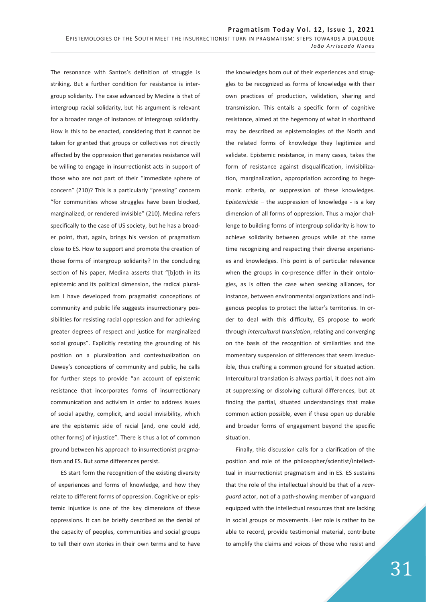The resonance with Santos's definition of struggle is striking. But a further condition for resistance is intergroup solidarity. The case advanced by Medina is that of intergroup racial solidarity, but his argument is relevant for a broader range of instances of intergroup solidarity. How is this to be enacted, considering that it cannot be taken for granted that groups or collectives not directly affected by the oppression that generates resistance will be willing to engage in insurrectionist acts in support of those who are not part of their "immediate sphere of concern" (210)? This is a particularly "pressing" concern "for communities whose struggles have been blocked, marginalized, or rendered invisible" (210). Medina refers specifically to the case of US society, but he has a broader point, that, again, brings his version of pragmatism close to ES. How to support and promote the creation of those forms of intergroup solidarity? In the concluding section of his paper, Medina asserts that "[b]oth in its epistemic and its political dimension, the radical pluralism I have developed from pragmatist conceptions of community and public life suggests insurrectionary possibilities for resisting racial oppression and for achieving greater degrees of respect and justice for marginalized social groups". Explicitly restating the grounding of his position on a pluralization and contextualization on Dewey's conceptions of community and public, he calls for further steps to provide "an account of epistemic resistance that incorporates forms of insurrectionary communication and activism in order to address issues of social apathy, complicit, and social invisibility, which are the epistemic side of racial [and, one could add, other forms] of injustice". There is thus a lot of common ground between his approach to insurrectionist pragmatism and ES. But some differences persist.

ES start form the recognition of the existing diversity of experiences and forms of knowledge, and how they relate to different forms of oppression. Cognitive or epistemic injustice is one of the key dimensions of these oppressions. It can be briefly described as the denial of the capacity of peoples, communities and social groups to tell their own stories in their own terms and to have

the knowledges born out of their experiences and struggles to be recognized as forms of knowledge with their own practices of production, validation, sharing and transmission. This entails a specific form of cognitive resistance, aimed at the hegemony of what in shorthand may be described as epistemologies of the North and the related forms of knowledge they legitimize and validate. Epistemic resistance, in many cases, takes the form of resistance against disqualification, invisibilization, marginalization, appropriation according to hegemonic criteria, or suppression of these knowledges. *Epistemicide* – the suppression of knowledge - is a key dimension of all forms of oppression. Thus a major challenge to building forms of intergroup solidarity is how to achieve solidarity between groups while at the same time recognizing and respecting their diverse experiences and knowledges. This point is of particular relevance when the groups in co-presence differ in their ontologies, as is often the case when seeking alliances, for instance, between environmental organizations and indigenous peoples to protect the latter's territories. In order to deal with this difficulty, ES propose to work through *intercultural translation*, relating and converging on the basis of the recognition of similarities and the momentary suspension of differences that seem irreducible, thus crafting a common ground for situated action. Intercultural translation is always partial, it does not aim at suppressing or dissolving cultural differences, but at finding the partial, situated understandings that make common action possible, even if these open up durable and broader forms of engagement beyond the specific situation.

Finally, this discussion calls for a clarification of the position and role of the philosopher/scientist/intellecttual in insurrectionist pragmatism and in ES. ES sustains that the role of the intellectual should be that of a *rearguard* actor, not of a path-showing member of vanguard equipped with the intellectual resources that are lacking in social groups or movements. Her role is rather to be able to record, provide testimonial material, contribute to amplify the claims and voices of those who resist and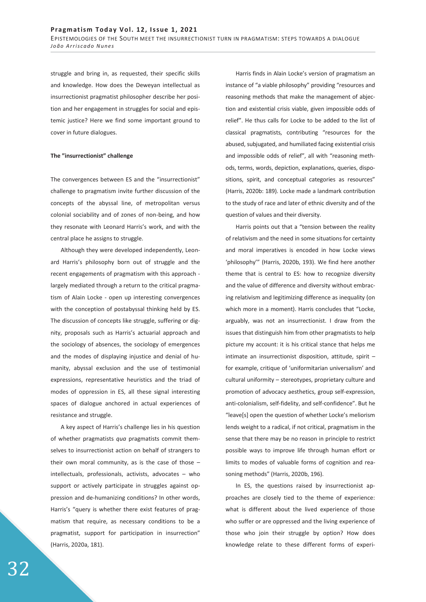struggle and bring in, as requested, their specific skills and knowledge. How does the Deweyan intellectual as insurrectionist pragmatist philosopher describe her position and her engagement in struggles for social and epistemic justice? Here we find some important ground to cover in future dialogues.

### **The "insurrectionist" challenge**

The convergences between ES and the "insurrectionist" challenge to pragmatism invite further discussion of the concepts of the abyssal line, of metropolitan versus colonial sociability and of zones of non-being, and how they resonate with Leonard Harris's work, and with the central place he assigns to struggle.

Although they were developed independently, Leonard Harris's philosophy born out of struggle and the recent engagements of pragmatism with this approach largely mediated through a return to the critical pragmatism of Alain Locke - open up interesting convergences with the conception of postabyssal thinking held by ES. The discussion of concepts like struggle, suffering or dignity, proposals such as Harris's actuarial approach and the sociology of absences, the sociology of emergences and the modes of displaying injustice and denial of humanity, abyssal exclusion and the use of testimonial expressions, representative heuristics and the triad of modes of oppression in ES, all these signal interesting spaces of dialogue anchored in actual experiences of resistance and struggle.

A key aspect of Harris's challenge lies in his question of whether pragmatists *qua* pragmatists commit themselves to insurrectionist action on behalf of strangers to their own moral community, as is the case of those  $$ intellectuals, professionals, activists, advocates – who support or actively participate in struggles against oppression and de-humanizing conditions? In other words, Harris's "query is whether there exist features of pragmatism that require, as necessary conditions to be a pragmatist, support for participation in insurrection" (Harris, 2020a, 181).

Harris finds in Alain Locke's version of pragmatism an instance of "a viable philosophy" providing "resources and reasoning methods that make the management of abjection and existential crisis viable, given impossible odds of relief". He thus calls for Locke to be added to the list of classical pragmatists, contributing "resources for the abused, subjugated, and humiliated facing existential crisis and impossible odds of relief", all with "reasoning methods, terms, words, depiction, explanations, queries, dispositions, spirit, and conceptual categories as resources" (Harris, 2020b: 189). Locke made a landmark contribution to the study of race and later of ethnic diversity and of the question of values and their diversity.

Harris points out that a "tension between the reality of relativism and the need in some situations for certainty and moral imperatives is encoded in how Locke views 'philosophy'" (Harris, 2020b, 193). We find here another theme that is central to ES: how to recognize diversity and the value of difference and diversity without embracing relativism and legitimizing difference as inequality (on which more in a moment). Harris concludes that "Locke, arguably, was not an insurrectionist. I draw from the issues that distinguish him from other pragmatists to help picture my account: it is his critical stance that helps me intimate an insurrectionist disposition, attitude, spirit – for example, critique of 'uniformitarian universalism' and cultural uniformity – stereotypes, proprietary culture and promotion of advocacy aesthetics, group self-expression, anti-colonialism, self-fidelity, and self-confidence". But he "leave[s] open the question of whether Locke's meliorism lends weight to a radical, if not critical, pragmatism in the sense that there may be no reason in principle to restrict possible ways to improve life through human effort or limits to modes of valuable forms of cognition and reasoning methods" (Harris, 2020b, 196).

In ES, the questions raised by insurrectionist approaches are closely tied to the theme of experience: what is different about the lived experience of those who suffer or are oppressed and the living experience of those who join their struggle by option? How does knowledge relate to these different forms of experi-

32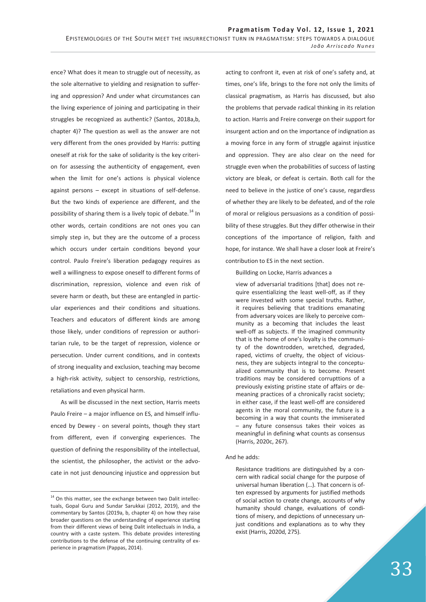ence? What does it mean to struggle out of necessity, as the sole alternative to yielding and resignation to suffering and oppression? And under what circumstances can the living experience of joining and participating in their struggles be recognized as authentic? (Santos, 2018a,b, chapter 4)? The question as well as the answer are not very different from the ones provided by Harris: putting oneself at risk for the sake of solidarity is the key criterion for assessing the authenticity of engagement, even when the limit for one's actions is physical violence against persons – except in situations of self-defense. But the two kinds of experience are different, and the possibility of sharing them is a lively topic of debate.<sup>14</sup> In other words, certain conditions are not ones you can simply step in, but they are the outcome of a process which occurs under certain conditions beyond your control. Paulo Freire's liberation pedagogy requires as well a willingness to expose oneself to different forms of discrimination, repression, violence and even risk of severe harm or death, but these are entangled in particular experiences and their conditions and situations. Teachers and educators of different kinds are among those likely, under conditions of repression or authoritarian rule, to be the target of repression, violence or persecution. Under current conditions, and in contexts of strong inequality and exclusion, teaching may become a high-risk activity, subject to censorship, restrictions, retaliations and even physical harm.

As will be discussed in the next section, Harris meets Paulo Freire – a major influence on ES, and himself influenced by Dewey - on several points, though they start from different, even if converging experiences. The question of defining the responsibility of the intellectual, the scientist, the philosopher, the activist or the advocate in not just denouncing injustice and oppression but

 $\overline{a}$ 

acting to confront it, even at risk of one's safety and, at times, one's life, brings to the fore not only the limits of classical pragmatism, as Harris has discussed, but also the problems that pervade radical thinking in its relation to action. Harris and Freire converge on their support for insurgent action and on the importance of indignation as a moving force in any form of struggle against injustice and oppression. They are also clear on the need for struggle even when the probabilities of success of lasting victory are bleak, or defeat is certain. Both call for the need to believe in the justice of one's cause, regardless of whether they are likely to be defeated, and of the role of moral or religious persuasions as a condition of possibility of these struggles. But they differ otherwise in their conceptions of the importance of religion, faith and hope, for instance. We shall have a closer look at Freire's contribution to ES in the next section.

Buillding on Locke, Harris advances a

view of adversarial traditions [that] does not require essentializing the least well-off, as if they were invested with some special truths. Rather, it requires believing that traditions emanating from adversary voices are likely to perceive community as a becoming that includes the least well-off as subjects. If the imagined community that is the home of one's loyalty is the community of the downtrodden, wretched, degraded, raped, victims of cruelty, the object of viciousness, they are subjects integral to the conceptualized community that is to become. Present traditions may be considered corrupttions of a previously existing pristine state of affairs or demeaning practices of a chronically racist society; in either case, if the least well-off are considered agents in the moral community, the future is a becoming in a way that counts the immiserated – any future consensus takes their voices as meaningful in defining what counts as consensus (Harris, 2020c, 267).

### And he adds:

Resistance traditions are distinguished by a concern with radical social change for the purpose of universal human liberation (…). That concern is often expressed by arguments for justified methods of social action to create change, accounts of why humanity should change, evaluations of conditions of misery, and depictions of unnecessary unjust conditions and explanations as to why they exist (Harris, 2020d, 275).

 $14$  On this matter, see the exchange between two Dalit intellectuals, Gopal Guru and Sundar Sarukkai (2012, 2019), and the commentary by Santos (2019a, b, chapter 4) on how they raise broader questions on the understanding of experience starting from their different views of being Dalit intellectuals in India, a country with a caste system. This debate provides interesting contributions to the defense of the continuing centrality of experience in pragmatism (Pappas, 2014).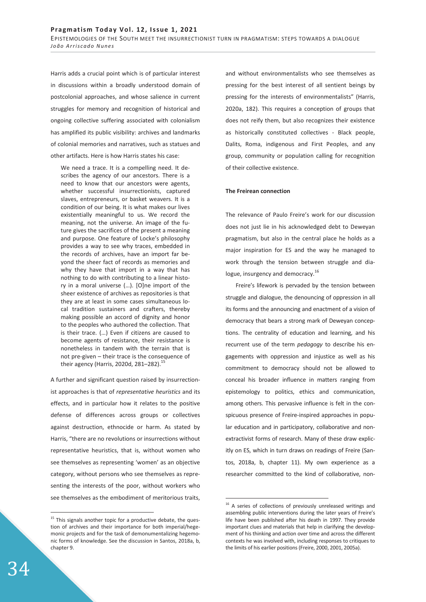Harris adds a crucial point which is of particular interest in discussions within a broadly understood domain of postcolonial approaches, and whose salience in current struggles for memory and recognition of historical and ongoing collective suffering associated with colonialism has amplified its public visibility: archives and landmarks of colonial memories and narratives, such as statues and other artifacts. Here is how Harris states his case:

We need a trace. It is a compelling need. It describes the agency of our ancestors. There is a need to know that our ancestors were agents, whether successful insurrectionists, captured slaves, entrepreneurs, or basket weavers. It is a condition of our being. It is what makes our lives existentially meaningful to us. We record the meaning, not the universe. An image of the future gives the sacrifices of the present a meaning and purpose. One feature of Locke's philosophy provides a way to see why traces, embedded in the records of archives, have an import far beyond the sheer fact of records as memories and why they have that import in a way that has nothing to do with contributing to a linear history in a moral universe (…). [O]ne import of the sheer existence of archives as repositories is that they are at least in some cases simultaneous local tradition sustainers and crafters, thereby making possible an accord of dignity and honor to the peoples who authored the collection. That is their trace. (…) Even if citizens are caused to become agents of resistance, their resistance is nonetheless in tandem with the terrain that is not pre-given – their trace is the consequence of their agency (Harris, 2020d, 281-282).<sup>15</sup>

A further and significant question raised by insurrectionist approaches is that of *representative heuristics* and its effects, and in particular how it relates to the positive defense of differences across groups or collectives against destruction, ethnocide or harm. As stated by Harris, "there are no revolutions or insurrections without representative heuristics, that is, without women who see themselves as representing 'women' as an objective category, without persons who see themselves as representing the interests of the poor, without workers who see themselves as the embodiment of meritorious traits,

and without environmentalists who see themselves as pressing for the best interest of all sentient beings by pressing for the interests of environmentalists" (Harris, 2020a, 182). This requires a conception of groups that does not reify them, but also recognizes their existence as historically constituted collectives - Black people, Dalits, Roma, indigenous and First Peoples, and any group, community or population calling for recognition of their collective existence.

## **The Freirean connection**

The relevance of Paulo Freire's work for our discussion does not just lie in his acknowledged debt to Deweyan pragmatism, but also in the central place he holds as a major inspiration for ES and the way he managed to work through the tension between struggle and dialogue, insurgency and democracy.<sup>16</sup>

Freire's lifework is pervaded by the tension between struggle and dialogue, the denouncing of oppression in all its forms and the announcing and enactment of a vision of democracy that bears a strong mark of Deweyan conceptions. The centrality of education and learning, and his recurrent use of the term *pedagogy* to describe his engagements with oppression and injustice as well as his commitment to democracy should not be allowed to conceal his broader influence in matters ranging from epistemology to politics, ethics and communication, among others. This pervasive influence is felt in the conspicuous presence of Freire-inspired approaches in popular education and in participatory, collaborative and nonextractivist forms of research. Many of these draw explicitly on ES, which in turn draws on readings of Freire (Santos, 2018a, b, chapter 11). My own experience as a researcher committed to the kind of collaborative, non-

-

-

 $15$  This signals another topic for a productive debate, the question of archives and their importance for both imperial/hegemonic projects and for the task of demonumentalizing hegemonic forms of knowledge. See the discussion in Santos, 2018a, b, chapter 9.

<sup>&</sup>lt;sup>16</sup> A series of collections of previously unreleased writings and assembling public interventions during the later years of Freire's life have been published after his death in 1997. They provide important clues and materials that help in clarifying the development of his thinking and action over time and across the different contexts he was involved with, including responses to critiques to the limits of his earlier positions (Freire, 2000, 2001, 2005a).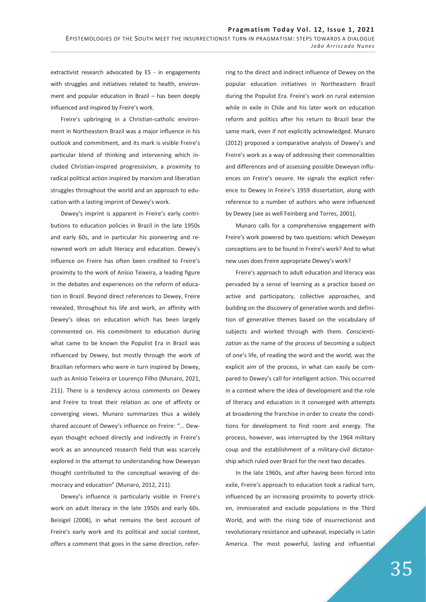extractivist research advocated by ES - in engagements with struggles and initiatives related to health, environment and popular education in Brazil – has been deeply influenced and inspired by Freire's work.

Freire's upbringing in a Christian-catholic environment in Northeastern Brazil was a major influence in his outlook and commitment, and its mark is visible Freire's particular blend of thinking and intervening which included Christian-inspired progressivism, a proximity to radical political action inspired by marxism and liberation struggles throughout the world and an approach to education with a lasting imprint of Dewey's work.

Dewey's imprint is apparent in Freire's early contributions to education policies in Brazil in the late 1950s and early 60s, and in particular his pioneering and renowned work on adult literacy and education. Dewey's influence on Freire has often been credited to Freire's proximity to the work of Anísio Teixeira, a leading figure in the debates and experiences on the reform of education in Brazil. Beyond direct references to Dewey, Freire revealed, throughout his life and work, an affinity with Dewey's ideas on education which has been largely commented on. His commitment to education during what came to be known the Populist Era in Brazil was influenced by Dewey, but mostly through the work of Brazilian reformers who were in turn inspired by Dewey, such as Anísio Teixeira or Lourenço Filho (Munaro, 2021, 211). There is a tendency across comments on Dewey and Freire to treat their relation as one of affinity or converging views. Munaro summarizes thus a widely shared account of Dewey's influence on Freire: "… Deweyan thought echoed directly and indirectly in Freire's work as an announced research field that was scarcely explored in the attempt to understanding how Deweyan thought contributed to the conceptual weaving of democracy and education" (Munaro, 2012, 211).

Dewey's influence is particularly visible in Freire's work on adult literacy in the late 1950s and early 60s. Beisigel (2008), in what remains the best account of Freire's early work and its political and social context, offers a comment that goes in the same direction, referring to the direct and indirect influence of Dewey on the popular education initiatives in Northeastern Brazil during the Populist Era. Freire's work on rural extension while in exile in Chile and his later work on education reform and politics after his return to Brazil bear the same mark, even if not explicitly acknowledged. Munaro (2012) proposed a comparative analysis of Dewey's and Freire's work as a way of addressing their commonalities and differences and of assessing possible Deweyan influences on Freire's oeuvre. He signals the explicit reference to Dewey in Freire's 1959 dissertation, along with reference to a number of authors who were influenced by Dewey (see as well Feinberg and Torres, 2001).

Munaro calls for a comprehensive engagement with Freire's work powered by two questions: which Deweyan conceptions are to be found in Freire's work? And to what new uses does Freire appropriate Dewey's work?

Freire's approach to adult education and literacy was pervaded by a sense of learning as a practice based on active and participatory, collective approaches, and building on the discovery of generative words and definition of generative themes based on the vocabulary of subjects and worked through with them. *Conscientization* as the name of the process of becoming a subject of one's life, of reading the word and the world, was the explicit aim of the process, in what can easily be compared to Dewey's call for intelligent action. This occurred in a context where the idea of development and the role of literacy and education in it converged with attempts at broadening the franchise in order to create the conditions for development to find room and energy. The process, however, was interrupted by the 1964 military coup and the establishment of a military-civil dictatorship which ruled over Brazil for the next two decades.

In the late 1960s, and after having been forced into exile, Freire's approach to education took a radical turn, influenced by an increasing proximity to poverty stricken, immiserated and exclude populations in the Third World, and with the rising tide of insurrectionist and revolutionary resistance and upheaval, especially in Latin America. The most powerful, lasting and influential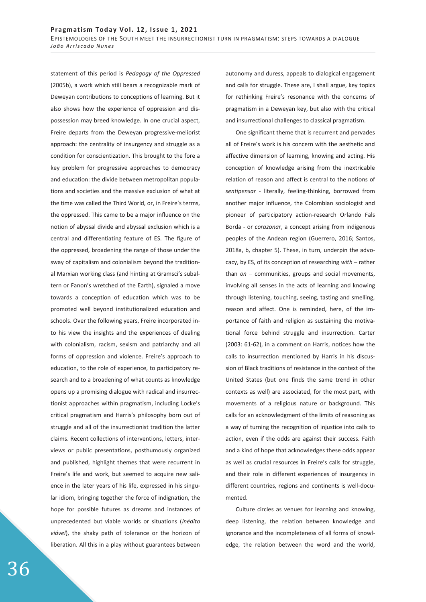statement of this period is *Pedagogy of the Oppressed*  (2005b), a work which still bears a recognizable mark of Deweyan contributions to conceptions of learning. But it also shows how the experience of oppression and dispossession may breed knowledge. In one crucial aspect, Freire departs from the Deweyan progressive-meliorist approach: the centrality of insurgency and struggle as a condition for conscientization. This brought to the fore a key problem for progressive approaches to democracy and education: the divide between metropolitan populations and societies and the massive exclusion of what at the time was called the Third World, or, in Freire's terms, the oppressed. This came to be a major influence on the notion of abyssal divide and abyssal exclusion which is a central and differentiating feature of ES. The figure of the oppressed, broadening the range of those under the sway of capitalism and colonialism beyond the traditional Marxian working class (and hinting at Gramsci's subaltern or Fanon's wretched of the Earth), signaled a move towards a conception of education which was to be promoted well beyond institutionalized education and schools. Over the following years, Freire incorporated into his view the insights and the experiences of dealing with colonialism, racism, sexism and patriarchy and all forms of oppression and violence. Freire's approach to education, to the role of experience, to participatory research and to a broadening of what counts as knowledge opens up a promising dialogue with radical and insurrectionist approaches within pragmatism, including Locke's critical pragmatism and Harris's philosophy born out of struggle and all of the insurrectionist tradition the latter claims. Recent collections of interventions, letters, interviews or public presentations, posthumously organized and published, highlight themes that were recurrent in Freire's life and work, but seemed to acquire new salience in the later years of his life, expressed in his singular idiom, bringing together the force of indignation, the hope for possible futures as dreams and instances of unprecedented but viable worlds or situations (*inédito viável*), the shaky path of tolerance or the horizon of liberation. All this in a play without guarantees between

autonomy and duress, appeals to dialogical engagement and calls for struggle. These are, I shall argue, key topics for rethinking Freire's resonance with the concerns of pragmatism in a Deweyan key, but also with the critical and insurrectional challenges to classical pragmatism.

One significant theme that is recurrent and pervades all of Freire's work is his concern with the aesthetic and affective dimension of learning, knowing and acting. His conception of knowledge arising from the inextricable relation of reason and affect is central to the notions of *sentipensar* - literally, feeling-thinking, borrowed from another major influence, the Colombian sociologist and pioneer of participatory action-research Orlando Fals Borda - or *corazonar*, a concept arising from indigenous peoples of the Andean region (Guerrero, 2016; Santos, 2018a, b, chapter 5). These, in turn, underpin the advocacy, by ES, of its conception of researching *with* – rather than *on* – communities, groups and social movements, involving all senses in the acts of learning and knowing through listening, touching, seeing, tasting and smelling, reason and affect. One is reminded, here, of the importance of faith and religion as sustaining the motivational force behind struggle and insurrection. Carter (2003: 61-62), in a comment on Harris, notices how the calls to insurrection mentioned by Harris in his discussion of Black traditions of resistance in the context of the United States (but one finds the same trend in other contexts as well) are associated, for the most part, with movements of a religious nature or background. This calls for an acknowledgment of the limits of reasoning as a way of turning the recognition of injustice into calls to action, even if the odds are against their success. Faith and a kind of hope that acknowledges these odds appear as well as crucial resources in Freire's calls for struggle, and their role in different experiences of insurgency in different countries, regions and continents is well-documented.

Culture circles as venues for learning and knowing, deep listening, the relation between knowledge and ignorance and the incompleteness of all forms of knowledge, the relation between the word and the world,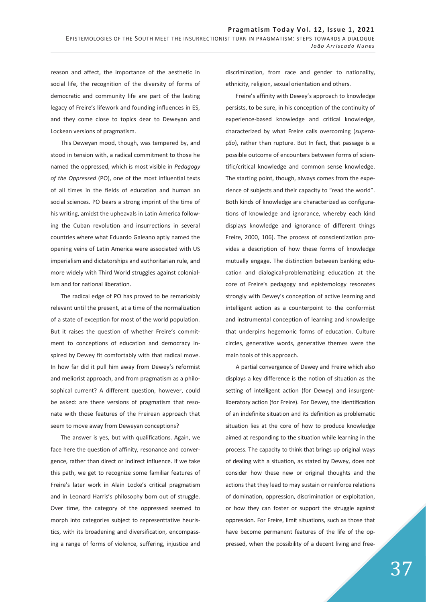reason and affect, the importance of the aesthetic in social life, the recognition of the diversity of forms of democratic and community life are part of the lasting legacy of Freire's lifework and founding influences in ES, and they come close to topics dear to Deweyan and Lockean versions of pragmatism.

This Deweyan mood, though, was tempered by, and stood in tension with, a radical commitment to those he named the oppressed, which is most visible in *Pedagogy of the Oppressed* (PO), one of the most influential texts of all times in the fields of education and human an social sciences. PO bears a strong imprint of the time of his writing, amidst the upheavals in Latin America following the Cuban revolution and insurrections in several countries where what Eduardo Galeano aptly named the opening veins of Latin America were associated with US imperialism and dictatorships and authoritarian rule, and more widely with Third World struggles against colonialism and for national liberation.

The radical edge of PO has proved to be remarkably relevant until the present, at a time of the normalization of a state of exception for most of the world population. But it raises the question of whether Freire's commitment to conceptions of education and democracy inspired by Dewey fit comfortably with that radical move. In how far did it pull him away from Dewey's reformist and meliorist approach, and from pragmatism as a philosophical current? A different question, however, could be asked: are there versions of pragmatism that resonate with those features of the Freirean approach that seem to move away from Deweyan conceptions?

The answer is yes, but with qualifications. Again, we face here the question of affinity, resonance and convergence, rather than direct or indirect influence. If we take this path, we get to recognize some familiar features of Freire's later work in Alain Locke's critical pragmatism and in Leonard Harris's philosophy born out of struggle. Over time, the category of the oppressed seemed to morph into categories subject to representtative heuristics, with its broadening and diversification, encompassing a range of forms of violence, suffering, injustice and discrimination, from race and gender to nationality, ethnicity, religion, sexual orientation and others.

Freire's affinity with Dewey's approach to knowledge persists, to be sure, in his conception of the continuity of experience-based knowledge and critical knowledge, characterized by what Freire calls overcoming (*superação*), rather than rupture. But In fact, that passage is a possible outcome of encounters between forms of scientific/critical knowledge and common sense knowledge. The starting point, though, always comes from the experience of subjects and their capacity to "read the world". Both kinds of knowledge are characterized as configurations of knowledge and ignorance, whereby each kind displays knowledge and ignorance of different things Freire, 2000, 106). The process of conscientization provides a description of how these forms of knowledge mutually engage. The distinction between banking education and dialogical-problematizing education at the core of Freire's pedagogy and epistemology resonates strongly with Dewey's conception of active learning and intelligent action as a counterpoint to the conformist and instrumental conception of learning and knowledge that underpins hegemonic forms of education. Culture circles, generative words, generative themes were the main tools of this approach.

A partial convergence of Dewey and Freire which also displays a key difference is the notion of situation as the setting of intelligent action (for Dewey) and insurgentliberatory action (for Freire). For Dewey, the identification of an indefinite situation and its definition as problematic situation lies at the core of how to produce knowledge aimed at responding to the situation while learning in the process. The capacity to think that brings up original ways of dealing with a situation, as stated by Dewey, does not consider how these new or original thoughts and the actions that they lead to may sustain or reinforce relations of domination, oppression, discrimination or exploitation, or how they can foster or support the struggle against oppression. For Freire, limit situations, such as those that have become permanent features of the life of the oppressed, when the possibility of a decent living and free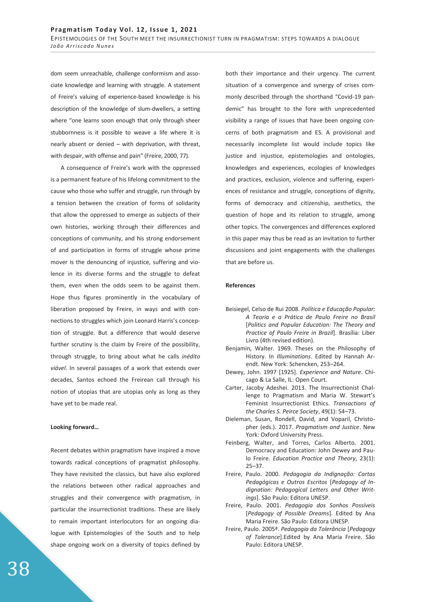dom seem unreachable, challenge conformism and associate knowledge and learning with struggle. A statement of Freire's valuing of experience-based knowledge is his description of the knowledge of slum-dwellers, a setting where "one learns soon enough that only through sheer stubbornness is it possible to weave a life where it is nearly absent or denied – with deprivation, with threat, with despair, with offense and pain" (Freire, 2000, 77).

A consequence of Freire's work with the oppressed is a permanent feature of his lifelong commitment to the cause who those who suffer and struggle, run through by a tension between the creation of forms of solidarity that allow the oppressed to emerge as subjects of their own histories, working through their differences and conceptions of community, and his strong endorsement of and participation in forms of struggle whose prime mover is the denouncing of injustice, suffering and violence in its diverse forms and the struggle to defeat them, even when the odds seem to be against them. Hope thus figures prominently in the vocabulary of liberation proposed by Freire, in ways and with connections to struggles which join Leonard Harris's conception of struggle. But a difference that would deserve further scrutiny is the claim by Freire of the possibility, through struggle, to bring about what he calls *inédito viável*. In several passages of a work that extends over decades, Santos echoed the Freirean call through his notion of utopias that are utopias only as long as they have yet to be made real.

### **Looking forward…**

Recent debates within pragmatism have inspired a move towards radical conceptions of pragmatist philosophy. They have revisited the classics, but have also explored the relations between other radical approaches and struggles and their convergence with pragmatism, in particular the insurrectionist traditions. These are likely to remain important interlocutors for an ongoing dialogue with Epistemologies of the South and to help shape ongoing work on a diversity of topics defined by both their importance and their urgency. The current situation of a convergence and synergy of crises commonly described through the shorthand "Covid-19 pandemic" has brought to the fore with unprecedented visibility a range of issues that have been ongoing concerns of both pragmatism and ES. A provisional and necessarily incomplete list would include topics like justice and injustice, epistemologies and ontologies, knowledges and experiences, ecologies of knowledges and practices, exclusion, violence and suffering, experiences of resistance and struggle, conceptions of dignity, forms of democracy and citizenship, aesthetics, the question of hope and its relation to struggle, among other topics. The convergences and differences explored in this paper may thus be read as an invitation to further discussions and joint engagements with the challenges that are before us.

# **References**

- Beisiegel, Celso de Rui 2008. *Política e Educação Popular: A Teoria e a Prática de Paulo Freire no Brasil* [*Politics and Popular Education: The Theory and Practice of Paulo Freire in Brazil*]. Brasília: Liber Livro (4th revised edition).
- Benjamin, Walter. 1969. Theses on the Philosophy of History. In *Illuminations*. Edited by Hannah Arendt. New York: Schencken, 253–264.
- Dewey, John. 1997 [1925]. *Experience and Nature*. Chicago & La Salle, IL: Open Court.
- Carter, Jacoby Adeshei. 2013. The Insurrectionist Challenge to Pragmatism and Maria W. Stewart's Feminist Insurrectionist Ethics. *Transactions of the Charles S. Peirce Society*, 49(1): 54–73.
- Dieleman, Susan, Rondell, David, and Voparil, Christopher (eds.). 2017. *Pragmatism and Justice*. New York: Oxford University Press.
- Feinberg, Walter, and Torres, Carlos Alberto. 2001. Democracy and Education: John Dewey and Paulo Freire. *Education Practice and Theory*, 23(1): 25–37.
- Freire, Paulo. 2000. *Pedagogia da Indignação: Cartas Pedagógicas e Outros Escritos* [*Pedagogy of Indignation: Pedagogical Letters and Other Writings*]. São Paulo: Editora UNESP.
- Freire, Paulo. 2001. *Pedagogia dos Sonhos Possíveis* [*Pedagogy of Possible Dreams*]. Edited by Ana Maria Freire. São Paulo: Editora UNESP.
- Freire, Paulo. 2005ª. *Pedagogia da Tolerância* [*Pedagogy of Tolerance*].Edited by Ana Maria Freire. São Paulo: Editora UNESP.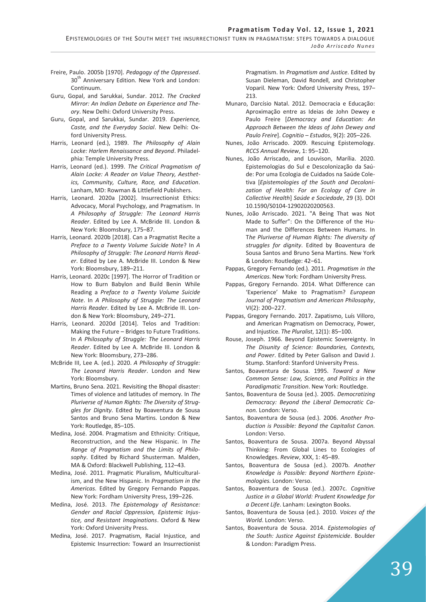# **Pragmatism Today Vol. 12, Issue 1, 2021**

EPISTEMOLOGIES OF THE SOUTH MEET THE INSURRECTIONIST TURN IN PRAGMATISM: STEPS TOWARDS A DIALOGUE *João Arriscado Nunes*

- Freire, Paulo. 2005b [1970]. *Pedagogy of the Oppressed*. 30<sup>th</sup> Anniversary Edition. New York and London: Continuum.
- Guru, Gopal, and Sarukkai, Sundar. 2012. *The Cracked Mirror: An Indian Debate on Experience and Theory*. New Delhi: Oxford University Press.
- Guru, Gopal, and Sarukkai, Sundar. 2019. *Experience, Caste, and the Everyday Social*. New Delhi: Oxford University Press.
- Harris, Leonard (ed.), 1989. *The Philosophy of Alain Locke: Harlem Renaissance and Beyond*. Philadelphia: Temple University Press.
- Harris, Leonard (ed.). 1999. *The Critical Pragmatism of Alain Locke: A Reader on Value Theory, Aesthetics, Community, Culture, Race, and Education*. Lanham, MD: Rowman & Littlefield Publishers.
- Harris, Leonard. 2020a [2002]. Insurrectionist Ethics: Advocacy, Moral Psychology, and Pragmatism. In *A Philosophy of Struggle: The Leonard Harris Reader*. Edited by Lee A. McBride III. London & New York: Bloomsbury, 175–87.
- Harris, Leonard. 2020b [2018]. Can a Pragmatist Recite a *Preface to a Twenty Volume Suicide Note*? In *A Philosophy of Struggle: The Leonard Harris Reader*. Edited by Lee A. McBride III. London & New York: Bloomsbury, 189–211.
- Harris, Leonard. 2020c [1997]. The Horror of Tradition or How to Burn Babylon and Build Benin While Reading a *Preface to a Twenty Volume Suicide Note*. In *A Philosophy of Struggle: The Leonard Harris Reader*. Edited by Lee A. McBride III. London & New York: Bloomsbury, 249–271.
- Harris, Leonard. 2020d [2014]. Telos and Tradition: Making the Future – Bridges to Future Traditions. In *A Philosophy of Struggle: The Leonard Harris Reader*. Edited by Lee A. McBride III. London & New York: Bloomsbury, 273–286.
- McBride III, Lee A. (ed.). 2020. *A Philosophy of Struggle: The Leonard Harris Reader*. London and New York: Bloomsbury.
- Martins, Bruno Sena. 2021. Revisiting the Bhopal disaster: Times of violence and latitudes of memory. In *The Pluriverse of Human Rights: The Diversity of Struggles for Dignity*. Edited by Boaventura de Sousa Santos and Bruno Sena Martins. London & New York: Routledge, 85–105.
- Medina, José. 2004. Pragmatism and Ethnicity: Critique, Reconstruction, and the New Hispanic. In *The Range of Pragmatism and the Limits of Philosophy*. Edited by Richard Shusterman. Malden, MA & Oxford: Blackwell Publishing, 112–43.
- Medina, José. 2011. Pragmatic Pluralism, Multiculturalism, and the New Hispanic. In *Pragmatism in the Americas*. Edited by Gregory Fernando Pappas. New York: Fordham University Press, 199–226.
- Medina, José. 2013. *The Epistemology of Resistance: Gender and Racial Oppression, Epistemic Injustice, and Resistant Imaginations*. Oxford & New York: Oxford University Press.
- Medina, José. 2017. Pragmatism, Racial Injustice, and Epistemic Insurrection: Toward an Insurrectionist

Pragmatism. In *Pragmatism and Justice*. Edited by Susan Dieleman, David Rondell, and Christopher Voparil. New York: Oxford University Press, 197– 213.

- Munaro, Darcísio Natal. 2012. Democracia e Educação: Aproximação entre as Ideias de John Dewey e Paulo Freire [*Democracy and Education: An Approach Between the Ideas of John Dewey and Paulo Freire*]. *Cognitio – Estudos*, 9(2): 205–226.
- Nunes, João Arriscado. 2009. Rescuing Epistemology. *RCCS Annual Review*, 1: 95–120.
- Nunes, João Arriscado, and Louvison, Marília. 2020. Epistemologias do Sul e Descolonização da Saúde: Por uma Ecologia de Cuidados na Saúde Coletiva [*Epistemologies of the South and Decolonization of Health: For an Ecology of Care in Collective Health*] *Saúde e Sociedade*, 29 (3). DOI 10.1590/S0104-12902020200563.
- Nunes, João Arriscado. 2021. "A Being That was Not Made to Suffer": On the Difference of the Human and the Differences Between Humans. In T*he Pluriverse of Human Rights: The diversity of struggles for dignity*. Edited by Boaventura de Sousa Santos and Bruno Sena Martins. New York & London: Routledge: 42–61.
- Pappas, Gregory Fernando (ed.). 2011. *Pragmatism in the Americas*. New York: Fordham University Press.
- Pappas, Gregory Fernando. 2014. What Difference can 'Experience' Make to Pragmatism? *European Journal of Pragmatism and American Philosophy*, VI(2): 200–227.
- Pappas, Gregory Fernando. 2017. Zapatismo, Luís Villoro, and American Pragmatism on Democracy, Power, and Injustice. *The Pluralist*, 12(1): 85–100.
- Rouse, Joseph. 1966. Beyond Epistemic Sovereignty. In *The Disunity of Science: Boundaries, Contexts, and Power*. Edited by Peter Galison and David J. Stump. Stanford: Stanford University Press.
- Santos, Boaventura de Sousa. 1995. *Toward a New Common Sense: Law, Science, and Politics in the Paradigmatic Transition*. New York: Routledge.
- Santos, Boaventura de Sousa (ed.). 2005. *Democratizing Democracy: Beyond the Liberal Democratic Canon.* London: Verso.
- Santos, Boaventura de Sousa (ed.). 2006. *Another Production is Possible: Beyond the Capitalist Canon.* London: Verso.
- Santos, Boaventura de Sousa. 2007a. Beyond Abyssal Thinking: From Global Lines to Ecologies of Knowledges. *Review*, XXX, 1: 45–89.
- Santos, Boaventura de Sousa (ed.). 2007b. *Another Knowledge is Possible: Beyond Northern Epistemologies.* London: Verso.
- Santos, Boaventura de Sousa (ed.). 2007c. *Cognitive Justice in a Global World: Prudent Knowledge for a Decent Life*. Lanham: Lexington Books.
- Santos, Boaventura de Sousa (ed.). 2010. *Voices of the World*. London: Verso.
- Santos, Boaventura de Sousa. 2014. *Epistemologies of the South: Justice Against Epistemicide*. Boulder & London: Paradigm Press.